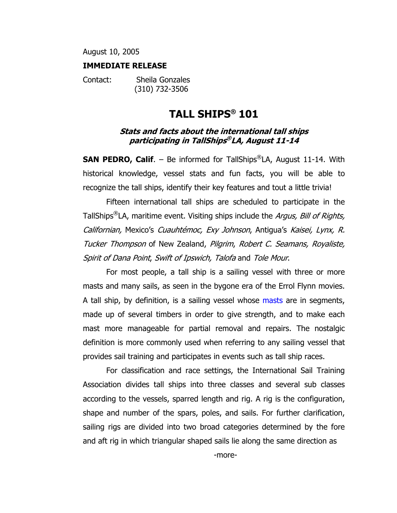August 10, 2005

#### **IMMEDIATE RELEASE**

Contact: Sheila Gonzales (310) 732-3506

# **TALL SHIPS® 101**

#### **Stats and facts about the international tall ships participating in TallShips® LA, August 11-14**

**SAN PEDRO, Calif.** – Be informed for TallShips<sup>®</sup>LA, August 11-14. With historical knowledge, vessel stats and fun facts, you will be able to recognize the tall ships, identify their key features and tout a little trivia!

Fifteen international tall ships are scheduled to participate in the TallShips<sup>®</sup>LA, maritime event. Visiting ships include the *Argus, Bill of Rights,* Californian, Mexico's Cuauhtémoc, Exy Johnson, Antigua's Kaisei, Lynx, R. Tucker Thompson of New Zealand, Pilgrim, Robert C. Seamans, Royaliste, Spirit of Dana Point, Swift of Ipswich, Talofa and Tole Mour.

For most people, a tall ship is a sailing vessel with three or more masts and many sails, as seen in the bygone era of the Errol Flynn movies. A tall ship, by definition, is a sailing vessel whose masts are in segments, made up of several timbers in order to give strength, and to make each mast more manageable for partial removal and repairs. The nostalgic definition is more commonly used when referring to any sailing vessel that provides sail training and participates in events such as tall ship races.

For classification and race settings, the International Sail Training Association divides tall ships into three classes and several sub classes according to the vessels, sparred length and rig. A rig is the configuration, shape and number of the spars, poles, and sails. For further clarification, sailing rigs are divided into two broad categories determined by the fore and aft rig in which triangular shaped sails lie along the same direction as

-more-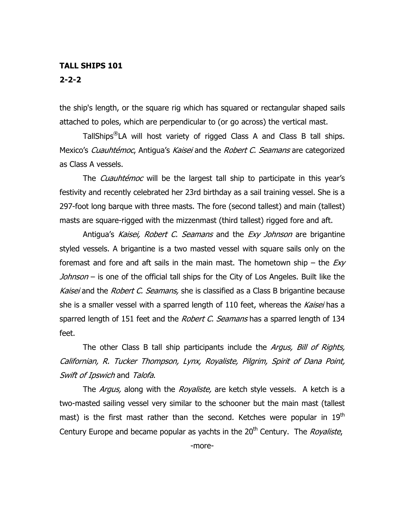## **TALL SHIPS 101 2-2-2**

the ship's length, or the square rig which has squared or rectangular shaped sails attached to poles, which are perpendicular to (or go across) the vertical mast.

TallShips®LA will host variety of rigged Class A and Class B tall ships. Mexico's *Cuauhtémoc*, Antigua's Kaisei and the Robert C. Seamans are categorized as Class A vessels.

The *Cuauhtémoc* will be the largest tall ship to participate in this year's festivity and recently celebrated her 23rd birthday as a sail training vessel. She is a 297-foot long barque with three masts. The fore (second tallest) and main (tallest) masts are square-rigged with the mizzenmast (third tallest) rigged fore and aft.

Antigua's Kaisei, Robert C. Seamans and the Exy Johnson are brigantine styled vessels. A brigantine is a two masted vessel with square sails only on the foremast and fore and aft sails in the main mast. The hometown ship – the  $Exp$ Johnson – is one of the official tall ships for the City of Los Angeles. Built like the Kaisei and the Robert C. Seamans, she is classified as a Class B brigantine because she is a smaller vessel with a sparred length of 110 feet, whereas the Kaisei has a sparred length of 151 feet and the *Robert C. Seamans* has a sparred length of 134 feet.

The other Class B tall ship participants include the *Argus, Bill of Rights,* Californian, R. Tucker Thompson, Lynx, Royaliste, Pilgrim, Spirit of Dana Point, Swift of Ipswich and Talofa.

The *Argus*, along with the *Royaliste*, are ketch style vessels. A ketch is a two-masted sailing vessel very similar to the schooner but the main mast (tallest mast) is the first mast rather than the second. Ketches were popular in  $19<sup>th</sup>$ Century Europe and became popular as yachts in the  $20<sup>th</sup>$  Century. The *Royaliste*,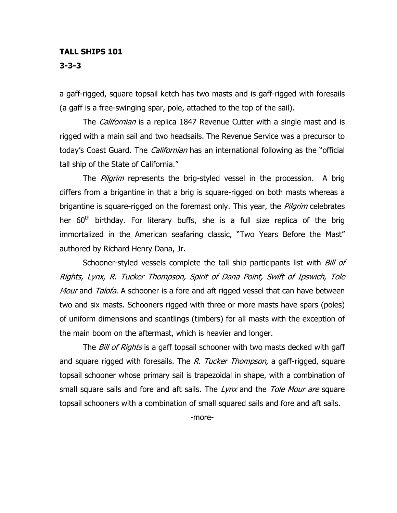#### **TALL SHIPS 101**

**3-3-3** 

a gaff-rigged, square topsail ketch has two masts and is gaff-rigged with foresails (a gaff is a free-swinging spar, pole, attached to the top of the sail).

The *Californian* is a replica 1847 Revenue Cutter with a single mast and is rigged with a main sail and two headsails. The Revenue Service was a precursor to today's Coast Guard. The *Californian* has an international following as the "official tall ship of the State of California."

The *Pilgrim* represents the brig-styled vessel in the procession. A brig differs from a brigantine in that a brig is square-rigged on both masts whereas a brigantine is square-rigged on the foremast only. This year, the *Pilgrim* celebrates her  $60<sup>th</sup>$  birthday. For literary buffs, she is a full size replica of the brig immortalized in the American seafaring classic, "Two Years Before the Mast" authored by Richard Henry Dana, Jr.

Schooner-styled vessels complete the tall ship participants list with *Bill of* Rights, Lynx, R. Tucker Thompson, Spirit of Dana Point, Swift of Ipswich, Tole Mour and Talofa. A schooner is a fore and aft rigged vessel that can have between two and six masts. Schooners rigged with three or more masts have spars (poles) of uniform dimensions and scantlings (timbers) for all masts with the exception of the main boom on the aftermast, which is heavier and longer.

The *Bill of Rights* is a gaff topsail schooner with two masts decked with gaff and square rigged with foresails. The R. Tucker Thompson, a gaff-rigged, square topsail schooner whose primary sail is trapezoidal in shape, with a combination of small square sails and fore and aft sails. The Lynx and the Tole Mour are square topsail schooners with a combination of small squared sails and fore and aft sails.